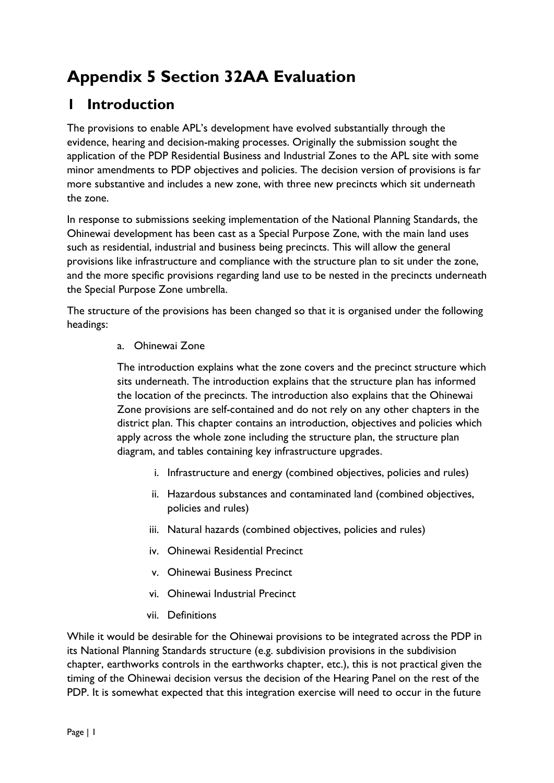# **Appendix 5 Section 32AA Evaluation**

## **1 Introduction**

The provisions to enable APL's development have evolved substantially through the evidence, hearing and decision-making processes. Originally the submission sought the application of the PDP Residential Business and Industrial Zones to the APL site with some minor amendments to PDP objectives and policies. The decision version of provisions is far more substantive and includes a new zone, with three new precincts which sit underneath the zone.

In response to submissions seeking implementation of the National Planning Standards, the Ohinewai development has been cast as a Special Purpose Zone, with the main land uses such as residential, industrial and business being precincts. This will allow the general provisions like infrastructure and compliance with the structure plan to sit under the zone, and the more specific provisions regarding land use to be nested in the precincts underneath the Special Purpose Zone umbrella.

The structure of the provisions has been changed so that it is organised under the following headings:

### a. Ohinewai Zone

The introduction explains what the zone covers and the precinct structure which sits underneath. The introduction explains that the structure plan has informed the location of the precincts. The introduction also explains that the Ohinewai Zone provisions are self-contained and do not rely on any other chapters in the district plan. This chapter contains an introduction, objectives and policies which apply across the whole zone including the structure plan, the structure plan diagram, and tables containing key infrastructure upgrades.

- i. Infrastructure and energy (combined objectives, policies and rules)
- ii. Hazardous substances and contaminated land (combined objectives, policies and rules)
- iii. Natural hazards (combined objectives, policies and rules)
- iv. Ohinewai Residential Precinct
- v. Ohinewai Business Precinct
- vi. Ohinewai Industrial Precinct
- vii. Definitions

While it would be desirable for the Ohinewai provisions to be integrated across the PDP in its National Planning Standards structure (e.g. subdivision provisions in the subdivision chapter, earthworks controls in the earthworks chapter, etc.), this is not practical given the timing of the Ohinewai decision versus the decision of the Hearing Panel on the rest of the PDP. It is somewhat expected that this integration exercise will need to occur in the future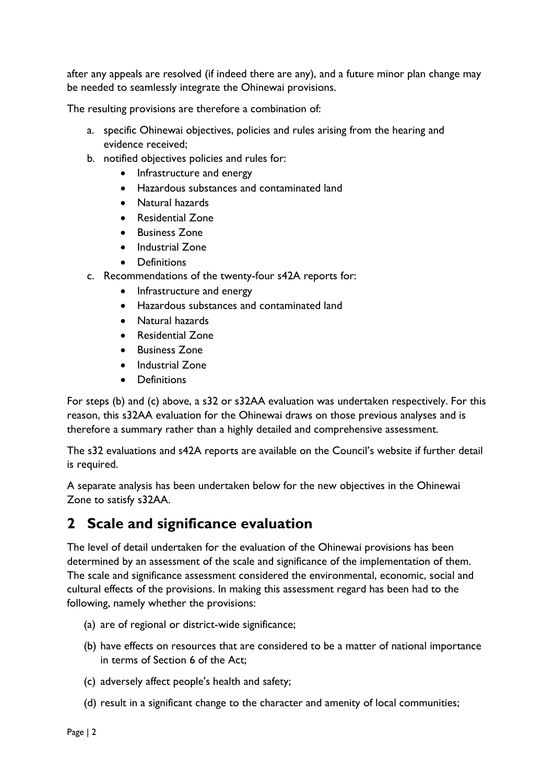after any appeals are resolved (if indeed there are any), and a future minor plan change may be needed to seamlessly integrate the Ohinewai provisions.

The resulting provisions are therefore a combination of:

- a. specific Ohinewai objectives, policies and rules arising from the hearing and evidence received;
- b. notified objectives policies and rules for:
	- Infrastructure and energy
	- Hazardous substances and contaminated land
	- Natural hazards
	- Residential Zone
	- Business Zone
	- Industrial Zone
	- Definitions
- c. Recommendations of the twenty-four s42A reports for:
	- Infrastructure and energy
	- Hazardous substances and contaminated land
	- Natural hazards
	- Residential Zone
	- Business Zone
	- Industrial Zone
	- Definitions

For steps (b) and (c) above, a s32 or s32AA evaluation was undertaken respectively. For this reason, this s32AA evaluation for the Ohinewai draws on those previous analyses and is therefore a summary rather than a highly detailed and comprehensive assessment.

The s32 evaluations and s42A reports are available on the Council's website if further detail is required.

A separate analysis has been undertaken below for the new objectives in the Ohinewai Zone to satisfy s32AA.

### **2 Scale and significance evaluation**

The level of detail undertaken for the evaluation of the Ohinewai provisions has been determined by an assessment of the scale and significance of the implementation of them. The scale and significance assessment considered the environmental, economic, social and cultural effects of the provisions. In making this assessment regard has been had to the following, namely whether the provisions:

- (a) are of regional or district-wide significance;
- (b) have effects on resources that are considered to be a matter of national importance in terms of Section 6 of the Act;
- (c) adversely affect people's health and safety;
- (d) result in a significant change to the character and amenity of local communities;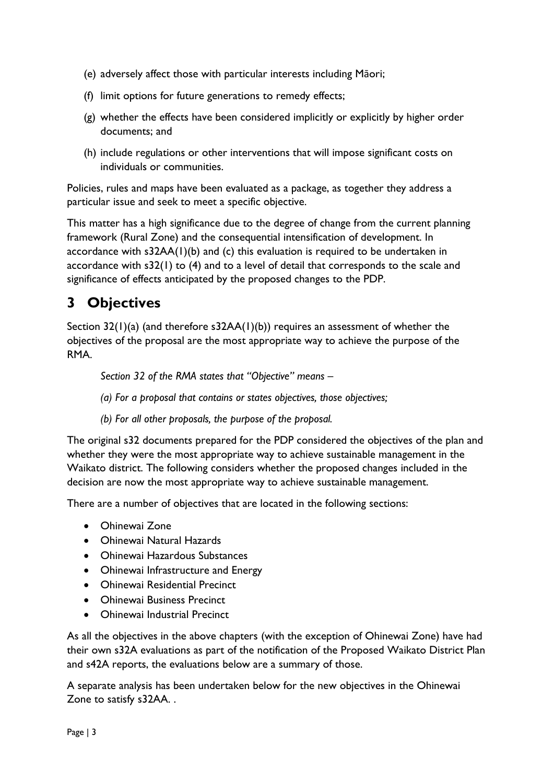- (e) adversely affect those with particular interests including Māori;
- (f) limit options for future generations to remedy effects;
- (g) whether the effects have been considered implicitly or explicitly by higher order documents; and
- (h) include regulations or other interventions that will impose significant costs on individuals or communities.

Policies, rules and maps have been evaluated as a package, as together they address a particular issue and seek to meet a specific objective.

This matter has a high significance due to the degree of change from the current planning framework (Rural Zone) and the consequential intensification of development. In accordance with s32AA(1)(b) and (c) this evaluation is required to be undertaken in accordance with s32(1) to (4) and to a level of detail that corresponds to the scale and significance of effects anticipated by the proposed changes to the PDP.

## **3 Objectives**

Section 32(1)(a) (and therefore s32AA(1)(b)) requires an assessment of whether the objectives of the proposal are the most appropriate way to achieve the purpose of the RMA.

*Section 32 of the RMA states that "Objective" means –*

*(a) For a proposal that contains or states objectives, those objectives;* 

*(b) For all other proposals, the purpose of the proposal.* 

The original s32 documents prepared for the PDP considered the objectives of the plan and whether they were the most appropriate way to achieve sustainable management in the Waikato district. The following considers whether the proposed changes included in the decision are now the most appropriate way to achieve sustainable management.

There are a number of objectives that are located in the following sections:

- Ohinewai Zone
- Ohinewai Natural Hazards
- Ohinewai Hazardous Substances
- Ohinewai Infrastructure and Energy
- Ohinewai Residential Precinct
- Ohinewai Business Precinct
- Ohinewai Industrial Precinct

As all the objectives in the above chapters (with the exception of Ohinewai Zone) have had their own s32A evaluations as part of the notification of the Proposed Waikato District Plan and s42A reports, the evaluations below are a summary of those.

A separate analysis has been undertaken below for the new objectives in the Ohinewai Zone to satisfy s32AA. .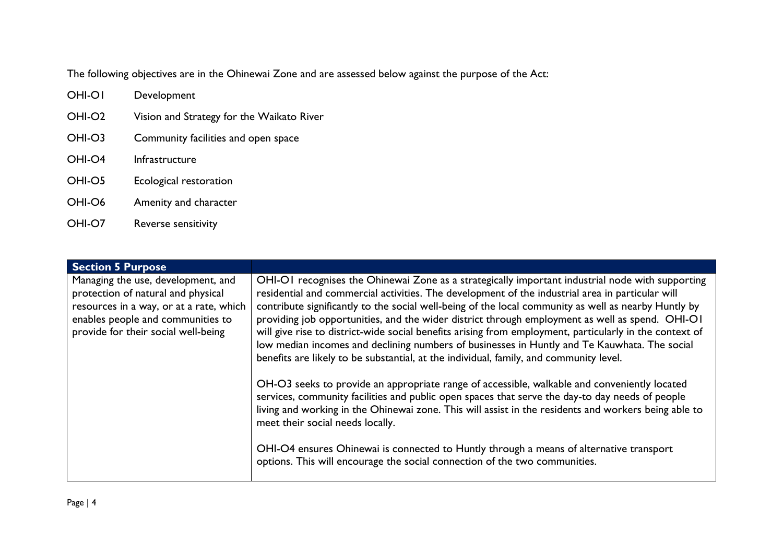The following objectives are in the Ohinewai Zone and are assessed below against the purpose of the Act:

- OHI-O1 Development
- OHI-O2 Vision and Strategy for the Waikato River
- OHI-O3 Community facilities and open space
- OHI-O4 Infrastructure
- OHI-O5 Ecological restoration
- OHI-O6 Amenity and character
- OHI-O7 Reverse sensitivity

| <b>Section 5 Purpose</b>                                                                                                                                                                        |                                                                                                                                                                                                                                                                                                                                                                                                                                                                                                                                                                                                                                                                                                                      |
|-------------------------------------------------------------------------------------------------------------------------------------------------------------------------------------------------|----------------------------------------------------------------------------------------------------------------------------------------------------------------------------------------------------------------------------------------------------------------------------------------------------------------------------------------------------------------------------------------------------------------------------------------------------------------------------------------------------------------------------------------------------------------------------------------------------------------------------------------------------------------------------------------------------------------------|
| Managing the use, development, and<br>protection of natural and physical<br>resources in a way, or at a rate, which<br>enables people and communities to<br>provide for their social well-being | OHI-OI recognises the Ohinewai Zone as a strategically important industrial node with supporting<br>residential and commercial activities. The development of the industrial area in particular will<br>contribute significantly to the social well-being of the local community as well as nearby Huntly by<br>providing job opportunities, and the wider district through employment as well as spend. OHI-OI<br>will give rise to district-wide social benefits arising from employment, particularly in the context of<br>low median incomes and declining numbers of businesses in Huntly and Te Kauwhata. The social<br>benefits are likely to be substantial, at the individual, family, and community level. |
|                                                                                                                                                                                                 | OH-O3 seeks to provide an appropriate range of accessible, walkable and conveniently located<br>services, community facilities and public open spaces that serve the day-to day needs of people<br>living and working in the Ohinewai zone. This will assist in the residents and workers being able to<br>meet their social needs locally.<br>OHI-O4 ensures Ohinewai is connected to Huntly through a means of alternative transport<br>options. This will encourage the social connection of the two communities.                                                                                                                                                                                                 |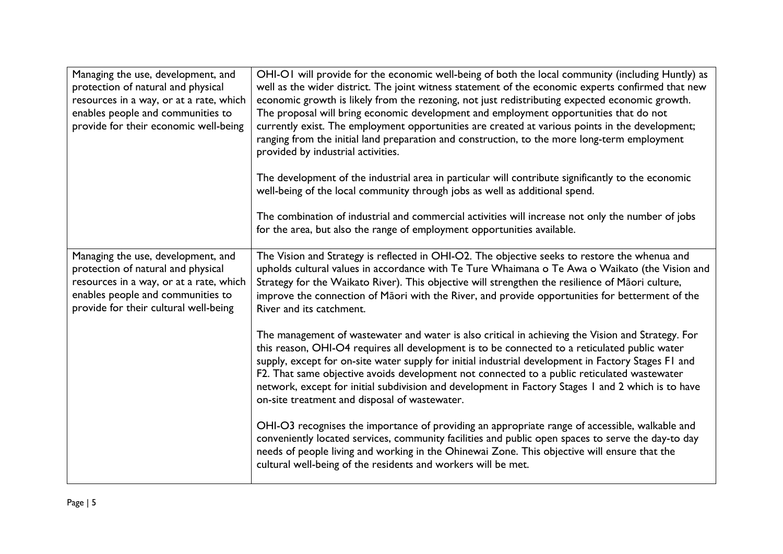| Managing the use, development, and<br>protection of natural and physical<br>resources in a way, or at a rate, which<br>enables people and communities to<br>provide for their economic well-being | OHI-OI will provide for the economic well-being of both the local community (including Huntly) as<br>well as the wider district. The joint witness statement of the economic experts confirmed that new<br>economic growth is likely from the rezoning, not just redistributing expected economic growth.<br>The proposal will bring economic development and employment opportunities that do not<br>currently exist. The employment opportunities are created at various points in the development;<br>ranging from the initial land preparation and construction, to the more long-term employment<br>provided by industrial activities. |  |
|---------------------------------------------------------------------------------------------------------------------------------------------------------------------------------------------------|---------------------------------------------------------------------------------------------------------------------------------------------------------------------------------------------------------------------------------------------------------------------------------------------------------------------------------------------------------------------------------------------------------------------------------------------------------------------------------------------------------------------------------------------------------------------------------------------------------------------------------------------|--|
|                                                                                                                                                                                                   | The development of the industrial area in particular will contribute significantly to the economic<br>well-being of the local community through jobs as well as additional spend.                                                                                                                                                                                                                                                                                                                                                                                                                                                           |  |
|                                                                                                                                                                                                   | The combination of industrial and commercial activities will increase not only the number of jobs<br>for the area, but also the range of employment opportunities available.                                                                                                                                                                                                                                                                                                                                                                                                                                                                |  |
| Managing the use, development, and<br>protection of natural and physical<br>resources in a way, or at a rate, which<br>enables people and communities to<br>provide for their cultural well-being | The Vision and Strategy is reflected in OHI-O2. The objective seeks to restore the whenua and<br>upholds cultural values in accordance with Te Ture Whaimana o Te Awa o Waikato (the Vision and<br>Strategy for the Waikato River). This objective will strengthen the resilience of Māori culture,<br>improve the connection of Māori with the River, and provide opportunities for betterment of the<br>River and its catchment.                                                                                                                                                                                                          |  |
|                                                                                                                                                                                                   | The management of wastewater and water is also critical in achieving the Vision and Strategy. For<br>this reason, OHI-O4 requires all development is to be connected to a reticulated public water<br>supply, except for on-site water supply for initial industrial development in Factory Stages F1 and<br>F2. That same objective avoids development not connected to a public reticulated wastewater<br>network, except for initial subdivision and development in Factory Stages 1 and 2 which is to have<br>on-site treatment and disposal of wastewater.                                                                             |  |
|                                                                                                                                                                                                   | OHI-O3 recognises the importance of providing an appropriate range of accessible, walkable and<br>conveniently located services, community facilities and public open spaces to serve the day-to day<br>needs of people living and working in the Ohinewai Zone. This objective will ensure that the<br>cultural well-being of the residents and workers will be met.                                                                                                                                                                                                                                                                       |  |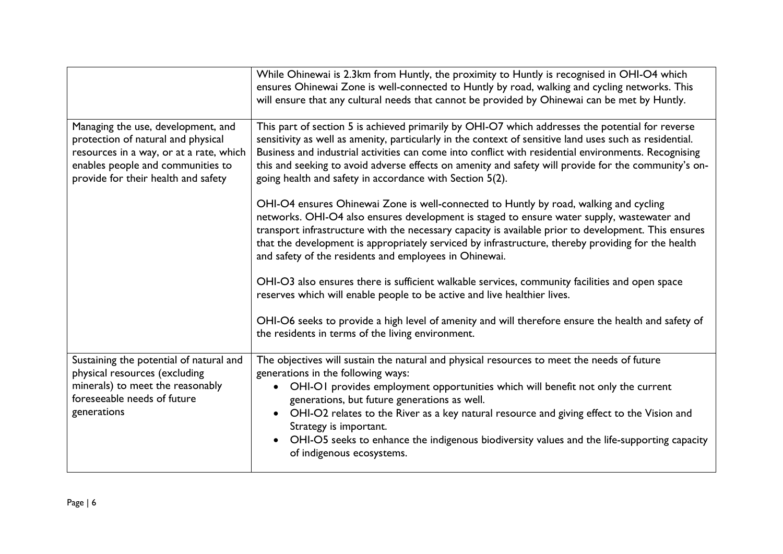|                                                                                                                                                                                                 | While Ohinewai is 2.3km from Huntly, the proximity to Huntly is recognised in OHI-O4 which<br>ensures Ohinewai Zone is well-connected to Huntly by road, walking and cycling networks. This<br>will ensure that any cultural needs that cannot be provided by Ohinewai can be met by Huntly.                                                                                                                                                                                                                            |
|-------------------------------------------------------------------------------------------------------------------------------------------------------------------------------------------------|-------------------------------------------------------------------------------------------------------------------------------------------------------------------------------------------------------------------------------------------------------------------------------------------------------------------------------------------------------------------------------------------------------------------------------------------------------------------------------------------------------------------------|
| Managing the use, development, and<br>protection of natural and physical<br>resources in a way, or at a rate, which<br>enables people and communities to<br>provide for their health and safety | This part of section 5 is achieved primarily by OHI-O7 which addresses the potential for reverse<br>sensitivity as well as amenity, particularly in the context of sensitive land uses such as residential.<br>Business and industrial activities can come into conflict with residential environments. Recognising<br>this and seeking to avoid adverse effects on amenity and safety will provide for the community's on-<br>going health and safety in accordance with Section 5(2).                                 |
|                                                                                                                                                                                                 | OHI-O4 ensures Ohinewai Zone is well-connected to Huntly by road, walking and cycling<br>networks. OHI-O4 also ensures development is staged to ensure water supply, wastewater and<br>transport infrastructure with the necessary capacity is available prior to development. This ensures<br>that the development is appropriately serviced by infrastructure, thereby providing for the health<br>and safety of the residents and employees in Ohinewai.                                                             |
|                                                                                                                                                                                                 | OHI-O3 also ensures there is sufficient walkable services, community facilities and open space<br>reserves which will enable people to be active and live healthier lives.                                                                                                                                                                                                                                                                                                                                              |
|                                                                                                                                                                                                 | OHI-O6 seeks to provide a high level of amenity and will therefore ensure the health and safety of<br>the residents in terms of the living environment.                                                                                                                                                                                                                                                                                                                                                                 |
| Sustaining the potential of natural and<br>physical resources (excluding<br>minerals) to meet the reasonably<br>foreseeable needs of future<br>generations                                      | The objectives will sustain the natural and physical resources to meet the needs of future<br>generations in the following ways:<br>OHI-OI provides employment opportunities which will benefit not only the current<br>generations, but future generations as well.<br>OHI-O2 relates to the River as a key natural resource and giving effect to the Vision and<br>Strategy is important.<br>OHI-O5 seeks to enhance the indigenous biodiversity values and the life-supporting capacity<br>of indigenous ecosystems. |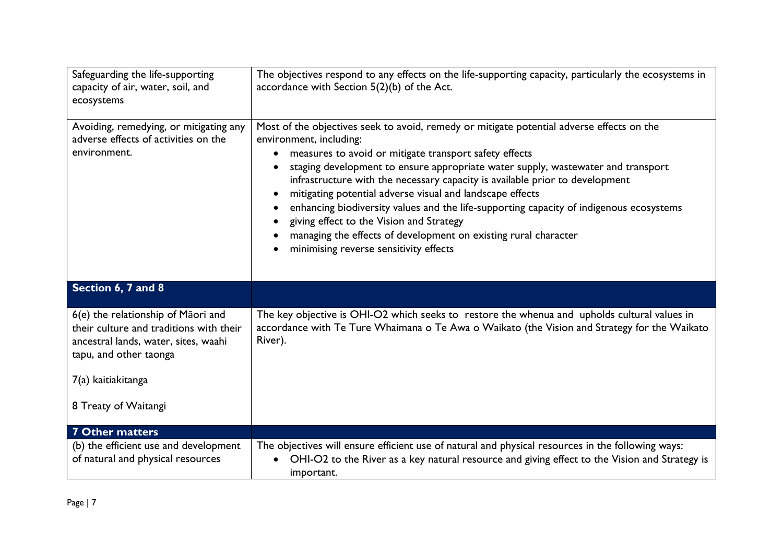| Safeguarding the life-supporting<br>capacity of air, water, soil, and<br>ecosystems                                                                                                           | The objectives respond to any effects on the life-supporting capacity, particularly the ecosystems in<br>accordance with Section 5(2)(b) of the Act.                                                                                                                                                                                                                                                                                                                                                                                                                                                                                                                             |  |  |
|-----------------------------------------------------------------------------------------------------------------------------------------------------------------------------------------------|----------------------------------------------------------------------------------------------------------------------------------------------------------------------------------------------------------------------------------------------------------------------------------------------------------------------------------------------------------------------------------------------------------------------------------------------------------------------------------------------------------------------------------------------------------------------------------------------------------------------------------------------------------------------------------|--|--|
| Avoiding, remedying, or mitigating any<br>adverse effects of activities on the<br>environment.                                                                                                | Most of the objectives seek to avoid, remedy or mitigate potential adverse effects on the<br>environment, including:<br>measures to avoid or mitigate transport safety effects<br>$\bullet$<br>staging development to ensure appropriate water supply, wastewater and transport<br>infrastructure with the necessary capacity is available prior to development<br>mitigating potential adverse visual and landscape effects<br>enhancing biodiversity values and the life-supporting capacity of indigenous ecosystems<br>giving effect to the Vision and Strategy<br>managing the effects of development on existing rural character<br>minimising reverse sensitivity effects |  |  |
| Section 6, 7 and 8                                                                                                                                                                            |                                                                                                                                                                                                                                                                                                                                                                                                                                                                                                                                                                                                                                                                                  |  |  |
| 6(e) the relationship of Māori and<br>their culture and traditions with their<br>ancestral lands, water, sites, waahi<br>tapu, and other taonga<br>7(a) kaitiakitanga<br>8 Treaty of Waitangi | The key objective is OHI-O2 which seeks to restore the whenua and upholds cultural values in<br>accordance with Te Ture Whaimana o Te Awa o Waikato (the Vision and Strategy for the Waikato<br>River).                                                                                                                                                                                                                                                                                                                                                                                                                                                                          |  |  |
| <b>7 Other matters</b>                                                                                                                                                                        |                                                                                                                                                                                                                                                                                                                                                                                                                                                                                                                                                                                                                                                                                  |  |  |
| (b) the efficient use and development<br>of natural and physical resources                                                                                                                    | The objectives will ensure efficient use of natural and physical resources in the following ways:<br>OHI-O2 to the River as a key natural resource and giving effect to the Vision and Strategy is<br>important.                                                                                                                                                                                                                                                                                                                                                                                                                                                                 |  |  |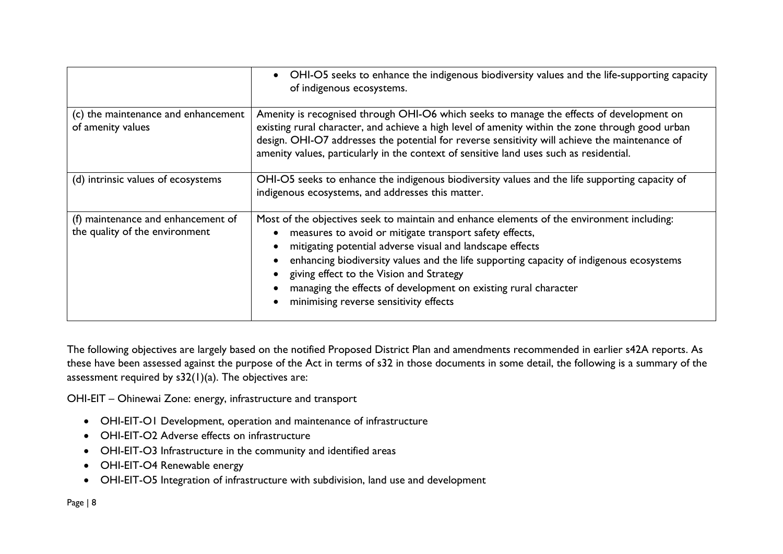|                                                                      | OHI-O5 seeks to enhance the indigenous biodiversity values and the life-supporting capacity<br>of indigenous ecosystems.                                                                                                                                                                                                                                                                                                                                               |  |
|----------------------------------------------------------------------|------------------------------------------------------------------------------------------------------------------------------------------------------------------------------------------------------------------------------------------------------------------------------------------------------------------------------------------------------------------------------------------------------------------------------------------------------------------------|--|
| (c) the maintenance and enhancement<br>of amenity values             | Amenity is recognised through OHI-O6 which seeks to manage the effects of development on<br>existing rural character, and achieve a high level of amenity within the zone through good urban<br>design. OHI-O7 addresses the potential for reverse sensitivity will achieve the maintenance of<br>amenity values, particularly in the context of sensitive land uses such as residential.                                                                              |  |
| (d) intrinsic values of ecosystems                                   | OHI-O5 seeks to enhance the indigenous biodiversity values and the life supporting capacity of<br>indigenous ecosystems, and addresses this matter.                                                                                                                                                                                                                                                                                                                    |  |
| (f) maintenance and enhancement of<br>the quality of the environment | Most of the objectives seek to maintain and enhance elements of the environment including:<br>measures to avoid or mitigate transport safety effects,<br>mitigating potential adverse visual and landscape effects<br>enhancing biodiversity values and the life supporting capacity of indigenous ecosystems<br>giving effect to the Vision and Strategy<br>managing the effects of development on existing rural character<br>minimising reverse sensitivity effects |  |

The following objectives are largely based on the notified Proposed District Plan and amendments recommended in earlier s42A reports. As these have been assessed against the purpose of the Act in terms of s32 in those documents in some detail, the following is a summary of the assessment required by  $s32(1)(a)$ . The objectives are:

OHI-EIT – Ohinewai Zone: energy, infrastructure and transport

- OHI-EIT-O1 Development, operation and maintenance of infrastructure
- OHI-EIT-O2 Adverse effects on infrastructure
- OHI-EIT-O3 Infrastructure in the community and identified areas
- OHI-EIT-O4 Renewable energy
- OHI-EIT-O5 Integration of infrastructure with subdivision, land use and development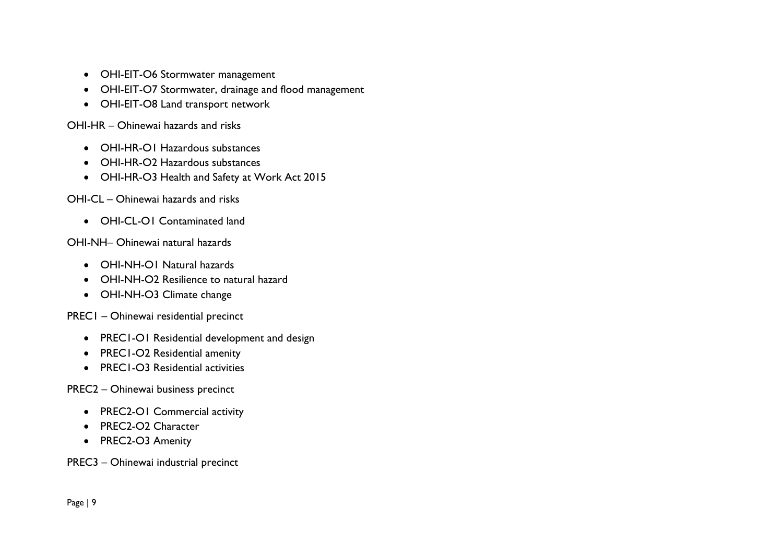- OHI-EIT-O6 Stormwater management
- OHI-EIT-O7 Stormwater, drainage and flood management
- OHI-EIT-O8 Land transport network

OHI-HR – Ohinewai hazards and risks

- OHI-HR-O1 Hazardous substances
- OHI-HR-O2 Hazardous substances
- OHI-HR-O3 Health and Safety at Work Act 2015

OHI-CL – Ohinewai hazards and risks

• OHI-CL-O1 Contaminated land

OHI-NH– Ohinewai natural hazards

- OHI-NH-O1 Natural hazards
- OHI-NH-O2 Resilience to natural hazard
- OHI-NH-O3 Climate change

PREC1 – Ohinewai residential precinct

- PREC1-O1 Residential development and design
- PREC1-O2 Residential amenity
- PREC1-O3 Residential activities

PREC2 – Ohinewai business precinct

- PREC2-O1 Commercial activity
- PREC2-O2 Character
- PREC2-O3 Amenity

PREC3 – Ohinewai industrial precinct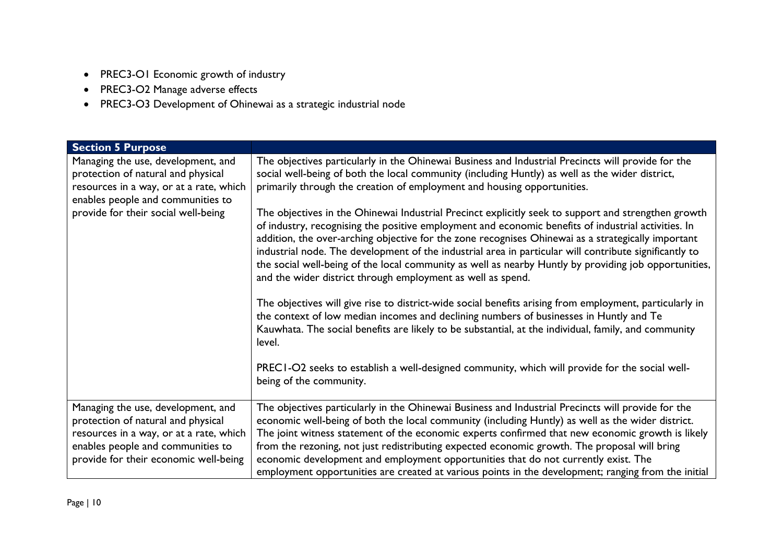- PREC3-O1 Economic growth of industry
- PREC3-O2 Manage adverse effects
- PREC3-O3 Development of Ohinewai as a strategic industrial node

| <b>Section 5 Purpose</b>                                                                                                                                                                          |                                                                                                                                                                                                                                                                                                                                                                                                                                                                                                                                                                                                                                                                                                                                                                                                                                                                                                                                                                                                                                                                                                                                                                                                                                                                                                                 |  |
|---------------------------------------------------------------------------------------------------------------------------------------------------------------------------------------------------|-----------------------------------------------------------------------------------------------------------------------------------------------------------------------------------------------------------------------------------------------------------------------------------------------------------------------------------------------------------------------------------------------------------------------------------------------------------------------------------------------------------------------------------------------------------------------------------------------------------------------------------------------------------------------------------------------------------------------------------------------------------------------------------------------------------------------------------------------------------------------------------------------------------------------------------------------------------------------------------------------------------------------------------------------------------------------------------------------------------------------------------------------------------------------------------------------------------------------------------------------------------------------------------------------------------------|--|
| Managing the use, development, and<br>protection of natural and physical<br>resources in a way, or at a rate, which<br>enables people and communities to<br>provide for their social well-being   | The objectives particularly in the Ohinewai Business and Industrial Precincts will provide for the<br>social well-being of both the local community (including Huntly) as well as the wider district,<br>primarily through the creation of employment and housing opportunities.<br>The objectives in the Ohinewai Industrial Precinct explicitly seek to support and strengthen growth<br>of industry, recognising the positive employment and economic benefits of industrial activities. In<br>addition, the over-arching objective for the zone recognises Ohinewai as a strategically important<br>industrial node. The development of the industrial area in particular will contribute significantly to<br>the social well-being of the local community as well as nearby Huntly by providing job opportunities,<br>and the wider district through employment as well as spend.<br>The objectives will give rise to district-wide social benefits arising from employment, particularly in<br>the context of low median incomes and declining numbers of businesses in Huntly and Te<br>Kauwhata. The social benefits are likely to be substantial, at the individual, family, and community<br>level.<br>PREC1-O2 seeks to establish a well-designed community, which will provide for the social well- |  |
|                                                                                                                                                                                                   |                                                                                                                                                                                                                                                                                                                                                                                                                                                                                                                                                                                                                                                                                                                                                                                                                                                                                                                                                                                                                                                                                                                                                                                                                                                                                                                 |  |
| Managing the use, development, and<br>protection of natural and physical<br>resources in a way, or at a rate, which<br>enables people and communities to<br>provide for their economic well-being | The objectives particularly in the Ohinewai Business and Industrial Precincts will provide for the<br>economic well-being of both the local community (including Huntly) as well as the wider district.<br>The joint witness statement of the economic experts confirmed that new economic growth is likely<br>from the rezoning, not just redistributing expected economic growth. The proposal will bring<br>economic development and employment opportunities that do not currently exist. The<br>employment opportunities are created at various points in the development; ranging from the initial                                                                                                                                                                                                                                                                                                                                                                                                                                                                                                                                                                                                                                                                                                        |  |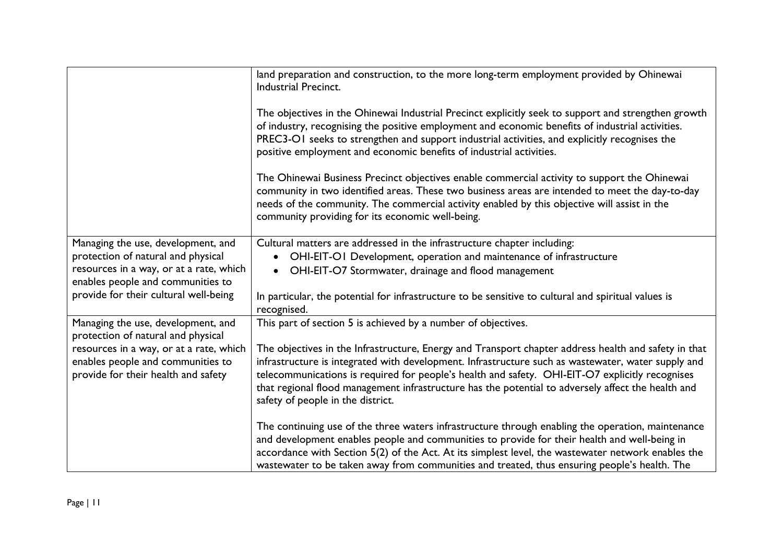|                                                                                                                                                          | land preparation and construction, to the more long-term employment provided by Ohinewai<br><b>Industrial Precinct.</b><br>The objectives in the Ohinewai Industrial Precinct explicitly seek to support and strengthen growth<br>of industry, recognising the positive employment and economic benefits of industrial activities.<br>PREC3-OI seeks to strengthen and support industrial activities, and explicitly recognises the<br>positive employment and economic benefits of industrial activities.<br>The Ohinewai Business Precinct objectives enable commercial activity to support the Ohinewai<br>community in two identified areas. These two business areas are intended to meet the day-to-day<br>needs of the community. The commercial activity enabled by this objective will assist in the<br>community providing for its economic well-being. |  |
|----------------------------------------------------------------------------------------------------------------------------------------------------------|-------------------------------------------------------------------------------------------------------------------------------------------------------------------------------------------------------------------------------------------------------------------------------------------------------------------------------------------------------------------------------------------------------------------------------------------------------------------------------------------------------------------------------------------------------------------------------------------------------------------------------------------------------------------------------------------------------------------------------------------------------------------------------------------------------------------------------------------------------------------|--|
| Managing the use, development, and<br>protection of natural and physical<br>resources in a way, or at a rate, which<br>enables people and communities to | Cultural matters are addressed in the infrastructure chapter including:<br>OHI-EIT-OI Development, operation and maintenance of infrastructure<br>OHI-EIT-O7 Stormwater, drainage and flood management<br>$\bullet$                                                                                                                                                                                                                                                                                                                                                                                                                                                                                                                                                                                                                                               |  |
| provide for their cultural well-being                                                                                                                    | In particular, the potential for infrastructure to be sensitive to cultural and spiritual values is<br>recognised.                                                                                                                                                                                                                                                                                                                                                                                                                                                                                                                                                                                                                                                                                                                                                |  |
| Managing the use, development, and<br>protection of natural and physical                                                                                 | This part of section 5 is achieved by a number of objectives.                                                                                                                                                                                                                                                                                                                                                                                                                                                                                                                                                                                                                                                                                                                                                                                                     |  |
| resources in a way, or at a rate, which<br>enables people and communities to<br>provide for their health and safety                                      | The objectives in the Infrastructure, Energy and Transport chapter address health and safety in that<br>infrastructure is integrated with development. Infrastructure such as wastewater, water supply and<br>telecommunications is required for people's health and safety. OHI-EIT-O7 explicitly recognises<br>that regional flood management infrastructure has the potential to adversely affect the health and<br>safety of people in the district.                                                                                                                                                                                                                                                                                                                                                                                                          |  |
|                                                                                                                                                          | The continuing use of the three waters infrastructure through enabling the operation, maintenance<br>and development enables people and communities to provide for their health and well-being in<br>accordance with Section 5(2) of the Act. At its simplest level, the wastewater network enables the<br>wastewater to be taken away from communities and treated, thus ensuring people's health. The                                                                                                                                                                                                                                                                                                                                                                                                                                                           |  |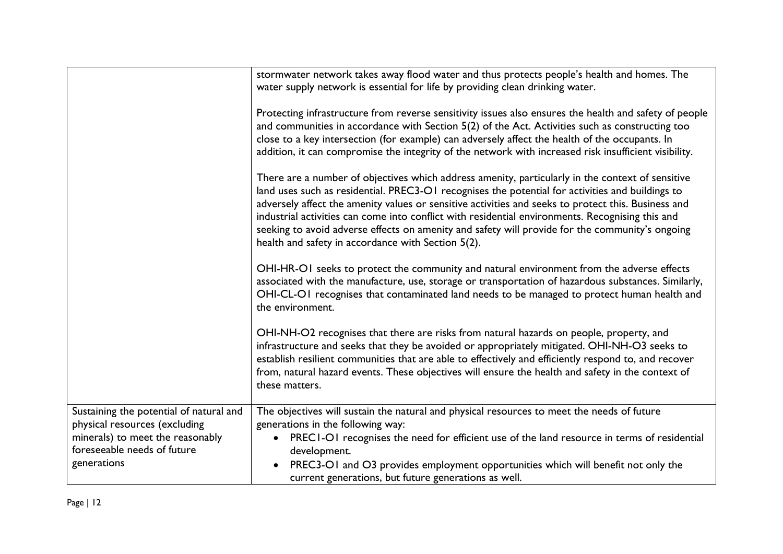|                                                                                                                                                            | stormwater network takes away flood water and thus protects people's health and homes. The<br>water supply network is essential for life by providing clean drinking water.                                                                                                                                                                                                                                                                                                                                                                                              |
|------------------------------------------------------------------------------------------------------------------------------------------------------------|--------------------------------------------------------------------------------------------------------------------------------------------------------------------------------------------------------------------------------------------------------------------------------------------------------------------------------------------------------------------------------------------------------------------------------------------------------------------------------------------------------------------------------------------------------------------------|
|                                                                                                                                                            | Protecting infrastructure from reverse sensitivity issues also ensures the health and safety of people<br>and communities in accordance with Section 5(2) of the Act. Activities such as constructing too<br>close to a key intersection (for example) can adversely affect the health of the occupants. In<br>addition, it can compromise the integrity of the network with increased risk insufficient visibility.                                                                                                                                                     |
|                                                                                                                                                            | There are a number of objectives which address amenity, particularly in the context of sensitive<br>land uses such as residential. PREC3-OI recognises the potential for activities and buildings to<br>adversely affect the amenity values or sensitive activities and seeks to protect this. Business and<br>industrial activities can come into conflict with residential environments. Recognising this and<br>seeking to avoid adverse effects on amenity and safety will provide for the community's ongoing<br>health and safety in accordance with Section 5(2). |
|                                                                                                                                                            | OHI-HR-OI seeks to protect the community and natural environment from the adverse effects<br>associated with the manufacture, use, storage or transportation of hazardous substances. Similarly,<br>OHI-CL-OI recognises that contaminated land needs to be managed to protect human health and<br>the environment.                                                                                                                                                                                                                                                      |
|                                                                                                                                                            | OHI-NH-O2 recognises that there are risks from natural hazards on people, property, and<br>infrastructure and seeks that they be avoided or appropriately mitigated. OHI-NH-O3 seeks to<br>establish resilient communities that are able to effectively and efficiently respond to, and recover<br>from, natural hazard events. These objectives will ensure the health and safety in the context of<br>these matters.                                                                                                                                                   |
| Sustaining the potential of natural and<br>physical resources (excluding<br>minerals) to meet the reasonably<br>foreseeable needs of future<br>generations | The objectives will sustain the natural and physical resources to meet the needs of future<br>generations in the following way:<br>• PREC1-O1 recognises the need for efficient use of the land resource in terms of residential<br>development.<br>PREC3-OI and O3 provides employment opportunities which will benefit not only the<br>current generations, but future generations as well.                                                                                                                                                                            |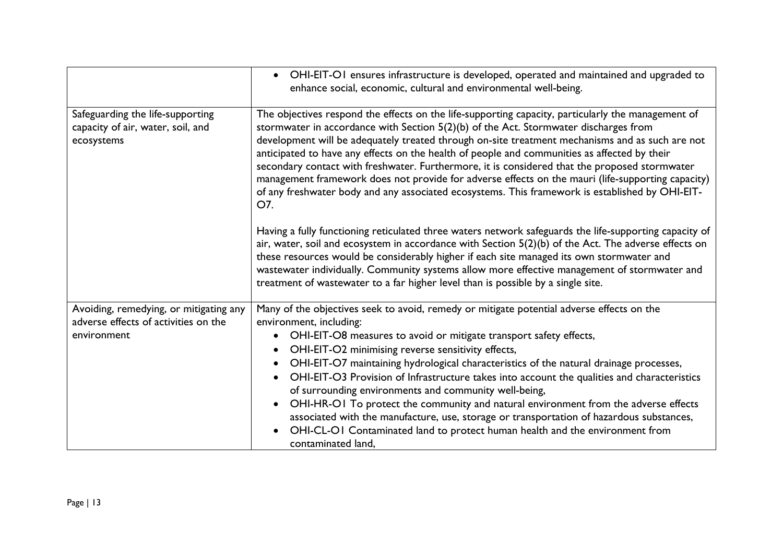|                                                                                               | OHI-EIT-OI ensures infrastructure is developed, operated and maintained and upgraded to<br>enhance social, economic, cultural and environmental well-being.                                                                                                                                                                                                                                                                                                                                                                                                                                                                                                                                                                                                                                              |  |  |
|-----------------------------------------------------------------------------------------------|----------------------------------------------------------------------------------------------------------------------------------------------------------------------------------------------------------------------------------------------------------------------------------------------------------------------------------------------------------------------------------------------------------------------------------------------------------------------------------------------------------------------------------------------------------------------------------------------------------------------------------------------------------------------------------------------------------------------------------------------------------------------------------------------------------|--|--|
| Safeguarding the life-supporting<br>capacity of air, water, soil, and<br>ecosystems           | The objectives respond the effects on the life-supporting capacity, particularly the management of<br>stormwater in accordance with Section $5(2)(b)$ of the Act. Stormwater discharges from<br>development will be adequately treated through on-site treatment mechanisms and as such are not<br>anticipated to have any effects on the health of people and communities as affected by their<br>secondary contact with freshwater. Furthermore, it is considered that the proposed stormwater<br>management framework does not provide for adverse effects on the mauri (life-supporting capacity)<br>of any freshwater body and any associated ecosystems. This framework is established by OHI-EIT-<br>O7.                                                                                          |  |  |
|                                                                                               | Having a fully functioning reticulated three waters network safeguards the life-supporting capacity of<br>air, water, soil and ecosystem in accordance with Section $5(2)(b)$ of the Act. The adverse effects on<br>these resources would be considerably higher if each site managed its own stormwater and<br>wastewater individually. Community systems allow more effective management of stormwater and<br>treatment of wastewater to a far higher level than is possible by a single site.                                                                                                                                                                                                                                                                                                         |  |  |
| Avoiding, remedying, or mitigating any<br>adverse effects of activities on the<br>environment | Many of the objectives seek to avoid, remedy or mitigate potential adverse effects on the<br>environment, including:<br>OHI-EIT-O8 measures to avoid or mitigate transport safety effects,<br>$\bullet$<br>OHI-EIT-O2 minimising reverse sensitivity effects,<br>OHI-EIT-O7 maintaining hydrological characteristics of the natural drainage processes,<br>OHI-EIT-O3 Provision of Infrastructure takes into account the qualities and characteristics<br>of surrounding environments and community well-being,<br>OHI-HR-OI To protect the community and natural environment from the adverse effects<br>associated with the manufacture, use, storage or transportation of hazardous substances,<br>OHI-CL-OI Contaminated land to protect human health and the environment from<br>contaminated land, |  |  |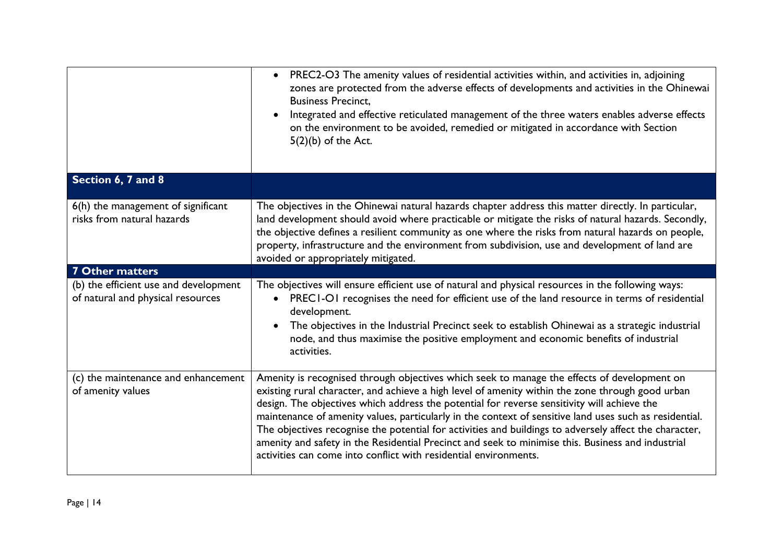|                                                                            | PREC2-O3 The amenity values of residential activities within, and activities in, adjoining<br>$\bullet$<br>zones are protected from the adverse effects of developments and activities in the Ohinewai<br><b>Business Precinct,</b><br>Integrated and effective reticulated management of the three waters enables adverse effects<br>on the environment to be avoided, remedied or mitigated in accordance with Section<br>$5(2)(b)$ of the Act.                                                                                                                                                                                                                                           |  |
|----------------------------------------------------------------------------|---------------------------------------------------------------------------------------------------------------------------------------------------------------------------------------------------------------------------------------------------------------------------------------------------------------------------------------------------------------------------------------------------------------------------------------------------------------------------------------------------------------------------------------------------------------------------------------------------------------------------------------------------------------------------------------------|--|
| Section 6, 7 and 8                                                         |                                                                                                                                                                                                                                                                                                                                                                                                                                                                                                                                                                                                                                                                                             |  |
| 6(h) the management of significant<br>risks from natural hazards           | The objectives in the Ohinewai natural hazards chapter address this matter directly. In particular,<br>land development should avoid where practicable or mitigate the risks of natural hazards. Secondly,<br>the objective defines a resilient community as one where the risks from natural hazards on people,<br>property, infrastructure and the environment from subdivision, use and development of land are<br>avoided or appropriately mitigated.                                                                                                                                                                                                                                   |  |
| <b>7 Other matters</b>                                                     |                                                                                                                                                                                                                                                                                                                                                                                                                                                                                                                                                                                                                                                                                             |  |
| (b) the efficient use and development<br>of natural and physical resources | The objectives will ensure efficient use of natural and physical resources in the following ways:<br>PRECI-OI recognises the need for efficient use of the land resource in terms of residential<br>development.<br>The objectives in the Industrial Precinct seek to establish Ohinewai as a strategic industrial<br>node, and thus maximise the positive employment and economic benefits of industrial<br>activities.                                                                                                                                                                                                                                                                    |  |
| (c) the maintenance and enhancement<br>of amenity values                   | Amenity is recognised through objectives which seek to manage the effects of development on<br>existing rural character, and achieve a high level of amenity within the zone through good urban<br>design. The objectives which address the potential for reverse sensitivity will achieve the<br>maintenance of amenity values, particularly in the context of sensitive land uses such as residential.<br>The objectives recognise the potential for activities and buildings to adversely affect the character,<br>amenity and safety in the Residential Precinct and seek to minimise this. Business and industrial<br>activities can come into conflict with residential environments. |  |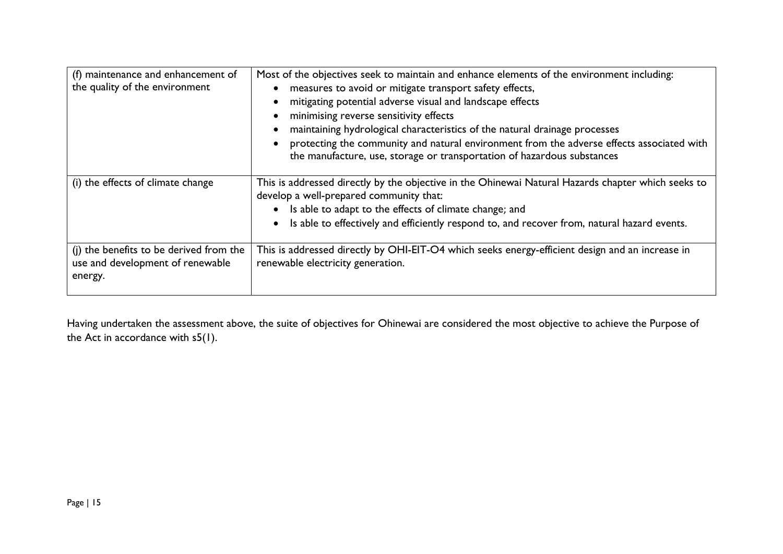| (f) maintenance and enhancement of<br>the quality of the environment                   | Most of the objectives seek to maintain and enhance elements of the environment including:<br>measures to avoid or mitigate transport safety effects,<br>mitigating potential adverse visual and landscape effects<br>minimising reverse sensitivity effects<br>maintaining hydrological characteristics of the natural drainage processes<br>protecting the community and natural environment from the adverse effects associated with<br>the manufacture, use, storage or transportation of hazardous substances |
|----------------------------------------------------------------------------------------|--------------------------------------------------------------------------------------------------------------------------------------------------------------------------------------------------------------------------------------------------------------------------------------------------------------------------------------------------------------------------------------------------------------------------------------------------------------------------------------------------------------------|
| (i) the effects of climate change                                                      | This is addressed directly by the objective in the Ohinewai Natural Hazards chapter which seeks to<br>develop a well-prepared community that:<br>Is able to adapt to the effects of climate change; and<br>Is able to effectively and efficiently respond to, and recover from, natural hazard events.                                                                                                                                                                                                             |
| (j) the benefits to be derived from the<br>use and development of renewable<br>energy. | This is addressed directly by OHI-EIT-O4 which seeks energy-efficient design and an increase in<br>renewable electricity generation.                                                                                                                                                                                                                                                                                                                                                                               |

Having undertaken the assessment above, the suite of objectives for Ohinewai are considered the most objective to achieve the Purpose of the Act in accordance with s5(1).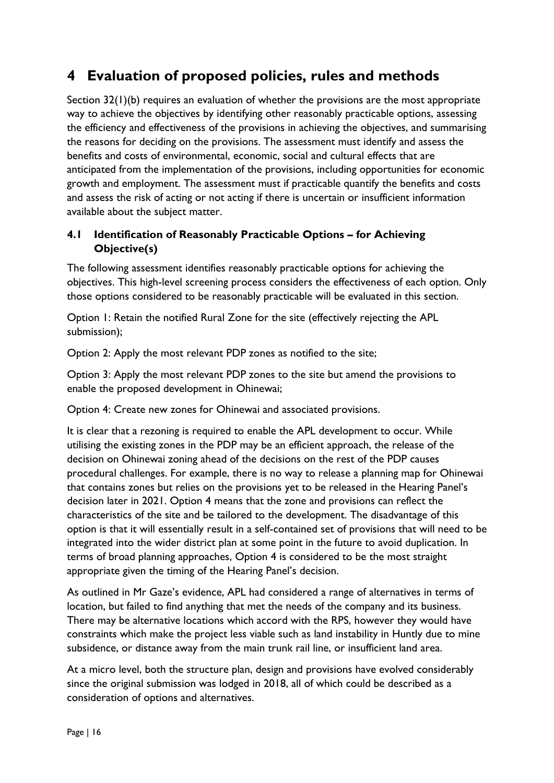## **4 Evaluation of proposed policies, rules and methods**

Section 32(1)(b) requires an evaluation of whether the provisions are the most appropriate way to achieve the objectives by identifying other reasonably practicable options, assessing the efficiency and effectiveness of the provisions in achieving the objectives, and summarising the reasons for deciding on the provisions. The assessment must identify and assess the benefits and costs of environmental, economic, social and cultural effects that are anticipated from the implementation of the provisions, including opportunities for economic growth and employment. The assessment must if practicable quantify the benefits and costs and assess the risk of acting or not acting if there is uncertain or insufficient information available about the subject matter.

### **4.1 Identification of Reasonably Practicable Options – for Achieving Objective(s)**

The following assessment identifies reasonably practicable options for achieving the objectives. This high-level screening process considers the effectiveness of each option. Only those options considered to be reasonably practicable will be evaluated in this section.

Option 1: Retain the notified Rural Zone for the site (effectively rejecting the APL submission);

Option 2: Apply the most relevant PDP zones as notified to the site;

Option 3: Apply the most relevant PDP zones to the site but amend the provisions to enable the proposed development in Ohinewai;

Option 4: Create new zones for Ohinewai and associated provisions.

It is clear that a rezoning is required to enable the APL development to occur. While utilising the existing zones in the PDP may be an efficient approach, the release of the decision on Ohinewai zoning ahead of the decisions on the rest of the PDP causes procedural challenges. For example, there is no way to release a planning map for Ohinewai that contains zones but relies on the provisions yet to be released in the Hearing Panel's decision later in 2021. Option 4 means that the zone and provisions can reflect the characteristics of the site and be tailored to the development. The disadvantage of this option is that it will essentially result in a self-contained set of provisions that will need to be integrated into the wider district plan at some point in the future to avoid duplication. In terms of broad planning approaches, Option 4 is considered to be the most straight appropriate given the timing of the Hearing Panel's decision.

As outlined in Mr Gaze's evidence, APL had considered a range of alternatives in terms of location, but failed to find anything that met the needs of the company and its business. There may be alternative locations which accord with the RPS, however they would have constraints which make the project less viable such as land instability in Huntly due to mine subsidence, or distance away from the main trunk rail line, or insufficient land area.

At a micro level, both the structure plan, design and provisions have evolved considerably since the original submission was lodged in 2018, all of which could be described as a consideration of options and alternatives.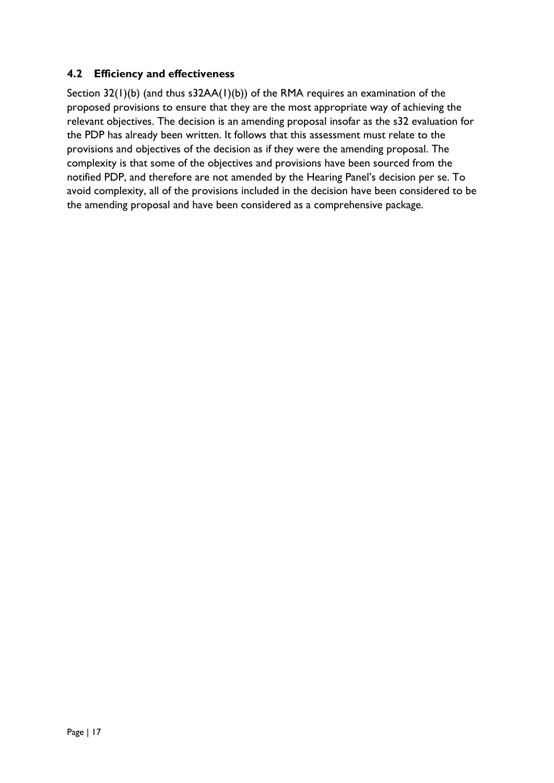### **4.2 Efficiency and effectiveness**

Section 32(1)(b) (and thus s32AA(1)(b)) of the RMA requires an examination of the proposed provisions to ensure that they are the most appropriate way of achieving the relevant objectives. The decision is an amending proposal insofar as the s32 evaluation for the PDP has already been written. It follows that this assessment must relate to the provisions and objectives of the decision as if they were the amending proposal. The complexity is that some of the objectives and provisions have been sourced from the notified PDP, and therefore are not amended by the Hearing Panel's decision per se. To avoid complexity, all of the provisions included in the decision have been considered to be the amending proposal and have been considered as a comprehensive package.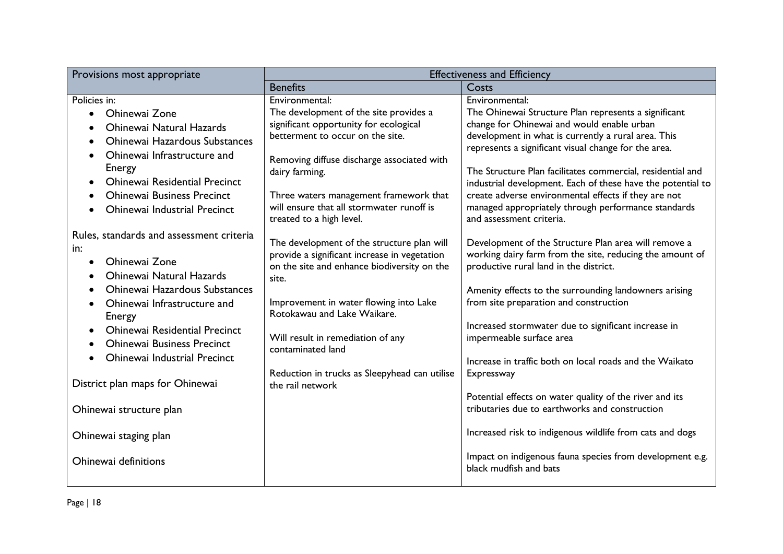| Provisions most appropriate                                                                                                                                                                                                                                                                                    | <b>Effectiveness and Efficiency</b>                                                                                                                                                                                                                                                                                       |                                                                                                                                                                                                                                                                                                                                                                                                                                                                                                             |  |
|----------------------------------------------------------------------------------------------------------------------------------------------------------------------------------------------------------------------------------------------------------------------------------------------------------------|---------------------------------------------------------------------------------------------------------------------------------------------------------------------------------------------------------------------------------------------------------------------------------------------------------------------------|-------------------------------------------------------------------------------------------------------------------------------------------------------------------------------------------------------------------------------------------------------------------------------------------------------------------------------------------------------------------------------------------------------------------------------------------------------------------------------------------------------------|--|
|                                                                                                                                                                                                                                                                                                                | <b>Benefits</b>                                                                                                                                                                                                                                                                                                           | Costs                                                                                                                                                                                                                                                                                                                                                                                                                                                                                                       |  |
| Policies in:<br>Ohinewai Zone<br>$\bullet$<br>Ohinewai Natural Hazards<br><b>Ohinewai Hazardous Substances</b><br>Ohinewai Infrastructure and<br>Energy<br><b>Ohinewai Residential Precinct</b><br>$\bullet$<br><b>Ohinewai Business Precinct</b><br>Ohinewai Industrial Precinct                              | Environmental:<br>The development of the site provides a<br>significant opportunity for ecological<br>betterment to occur on the site.<br>Removing diffuse discharge associated with<br>dairy farming.<br>Three waters management framework that<br>will ensure that all stormwater runoff is<br>treated to a high level. | Environmental:<br>The Ohinewai Structure Plan represents a significant<br>change for Ohinewai and would enable urban<br>development in what is currently a rural area. This<br>represents a significant visual change for the area.<br>The Structure Plan facilitates commercial, residential and<br>industrial development. Each of these have the potential to<br>create adverse environmental effects if they are not<br>managed appropriately through performance standards<br>and assessment criteria. |  |
| Rules, standards and assessment criteria<br>in:<br>Ohinewai Zone<br>$\bullet$<br><b>Ohinewai Natural Hazards</b><br>Ohinewai Hazardous Substances<br>Ohinewai Infrastructure and<br>Energy<br><b>Ohinewai Residential Precinct</b><br><b>Ohinewai Business Precinct</b><br><b>Ohinewai Industrial Precinct</b> | The development of the structure plan will<br>provide a significant increase in vegetation<br>on the site and enhance biodiversity on the<br>site.<br>Improvement in water flowing into Lake<br>Rotokawau and Lake Waikare.<br>Will result in remediation of any<br>contaminated land                                     | Development of the Structure Plan area will remove a<br>working dairy farm from the site, reducing the amount of<br>productive rural land in the district.<br>Amenity effects to the surrounding landowners arising<br>from site preparation and construction<br>Increased stormwater due to significant increase in<br>impermeable surface area<br>Increase in traffic both on local roads and the Waikato                                                                                                 |  |
| District plan maps for Ohinewai                                                                                                                                                                                                                                                                                | Reduction in trucks as Sleepyhead can utilise<br>the rail network                                                                                                                                                                                                                                                         | Expressway<br>Potential effects on water quality of the river and its                                                                                                                                                                                                                                                                                                                                                                                                                                       |  |
| Ohinewai structure plan                                                                                                                                                                                                                                                                                        |                                                                                                                                                                                                                                                                                                                           | tributaries due to earthworks and construction                                                                                                                                                                                                                                                                                                                                                                                                                                                              |  |
| Ohinewai staging plan                                                                                                                                                                                                                                                                                          |                                                                                                                                                                                                                                                                                                                           | Increased risk to indigenous wildlife from cats and dogs                                                                                                                                                                                                                                                                                                                                                                                                                                                    |  |
| Ohinewai definitions                                                                                                                                                                                                                                                                                           |                                                                                                                                                                                                                                                                                                                           | Impact on indigenous fauna species from development e.g.<br>black mudfish and bats                                                                                                                                                                                                                                                                                                                                                                                                                          |  |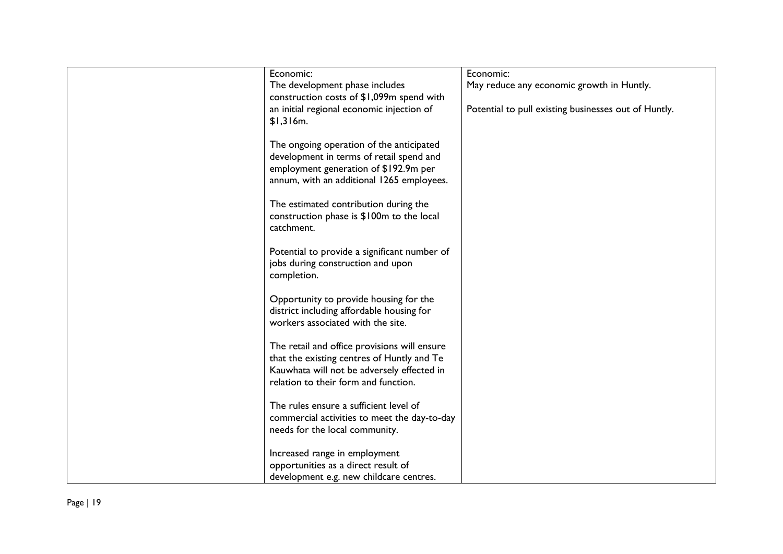| Economic:                                    | Economic:                                            |
|----------------------------------------------|------------------------------------------------------|
| The development phase includes               | May reduce any economic growth in Huntly.            |
| construction costs of \$1,099m spend with    |                                                      |
| an initial regional economic injection of    | Potential to pull existing businesses out of Huntly. |
| \$1,316m.                                    |                                                      |
|                                              |                                                      |
| The ongoing operation of the anticipated     |                                                      |
| development in terms of retail spend and     |                                                      |
| employment generation of \$192.9m per        |                                                      |
|                                              |                                                      |
| annum, with an additional 1265 employees.    |                                                      |
| The estimated contribution during the        |                                                      |
|                                              |                                                      |
| construction phase is \$100m to the local    |                                                      |
| catchment.                                   |                                                      |
|                                              |                                                      |
| Potential to provide a significant number of |                                                      |
| jobs during construction and upon            |                                                      |
| completion.                                  |                                                      |
|                                              |                                                      |
| Opportunity to provide housing for the       |                                                      |
| district including affordable housing for    |                                                      |
| workers associated with the site.            |                                                      |
|                                              |                                                      |
| The retail and office provisions will ensure |                                                      |
| that the existing centres of Huntly and Te   |                                                      |
| Kauwhata will not be adversely effected in   |                                                      |
| relation to their form and function.         |                                                      |
| The rules ensure a sufficient level of       |                                                      |
|                                              |                                                      |
| commercial activities to meet the day-to-day |                                                      |
| needs for the local community.               |                                                      |
|                                              |                                                      |
| Increased range in employment                |                                                      |
| opportunities as a direct result of          |                                                      |
| development e.g. new childcare centres.      |                                                      |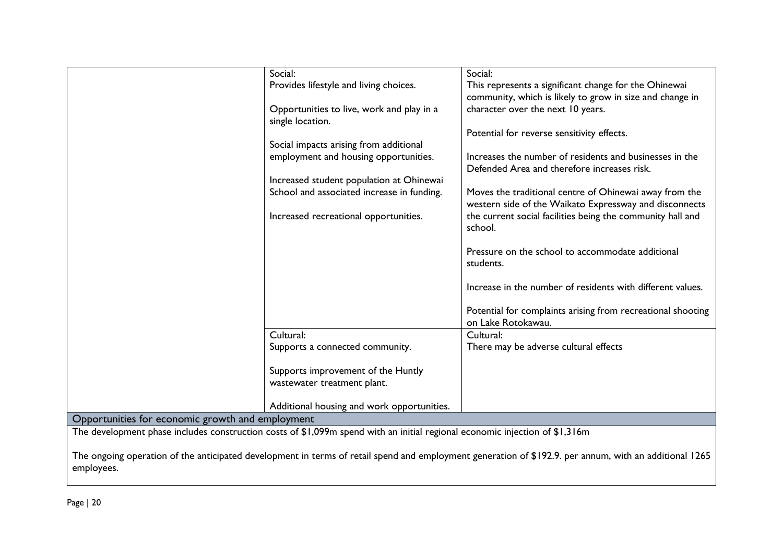|                                                                                                                             | Social:                                    | Social:                                                     |  |
|-----------------------------------------------------------------------------------------------------------------------------|--------------------------------------------|-------------------------------------------------------------|--|
|                                                                                                                             | Provides lifestyle and living choices.     | This represents a significant change for the Ohinewai       |  |
|                                                                                                                             |                                            | community, which is likely to grow in size and change in    |  |
|                                                                                                                             | Opportunities to live, work and play in a  | character over the next 10 years.                           |  |
|                                                                                                                             | single location.                           |                                                             |  |
|                                                                                                                             |                                            | Potential for reverse sensitivity effects.                  |  |
|                                                                                                                             | Social impacts arising from additional     |                                                             |  |
|                                                                                                                             | employment and housing opportunities.      | Increases the number of residents and businesses in the     |  |
|                                                                                                                             |                                            | Defended Area and therefore increases risk.                 |  |
|                                                                                                                             | Increased student population at Ohinewai   |                                                             |  |
|                                                                                                                             | School and associated increase in funding. | Moves the traditional centre of Ohinewai away from the      |  |
|                                                                                                                             |                                            | western side of the Waikato Expressway and disconnects      |  |
|                                                                                                                             | Increased recreational opportunities.      | the current social facilities being the community hall and  |  |
|                                                                                                                             |                                            | school.                                                     |  |
|                                                                                                                             |                                            |                                                             |  |
|                                                                                                                             |                                            | Pressure on the school to accommodate additional            |  |
|                                                                                                                             |                                            | students.                                                   |  |
|                                                                                                                             |                                            |                                                             |  |
|                                                                                                                             |                                            | Increase in the number of residents with different values.  |  |
|                                                                                                                             |                                            |                                                             |  |
|                                                                                                                             |                                            | Potential for complaints arising from recreational shooting |  |
|                                                                                                                             |                                            | on Lake Rotokawau.                                          |  |
|                                                                                                                             | Cultural:                                  | Cultural:                                                   |  |
|                                                                                                                             | Supports a connected community.            | There may be adverse cultural effects                       |  |
|                                                                                                                             |                                            |                                                             |  |
|                                                                                                                             | Supports improvement of the Huntly         |                                                             |  |
|                                                                                                                             | wastewater treatment plant.                |                                                             |  |
|                                                                                                                             |                                            |                                                             |  |
|                                                                                                                             | Additional housing and work opportunities. |                                                             |  |
| Opportunities for economic growth and employment                                                                            |                                            |                                                             |  |
| The development phase includes construction costs of \$1,099m spend with an initial regional economic injection of \$1,316m |                                            |                                                             |  |

The ongoing operation of the anticipated development in terms of retail spend and employment generation of \$192.9. per annum, with an additional 1265 employees.